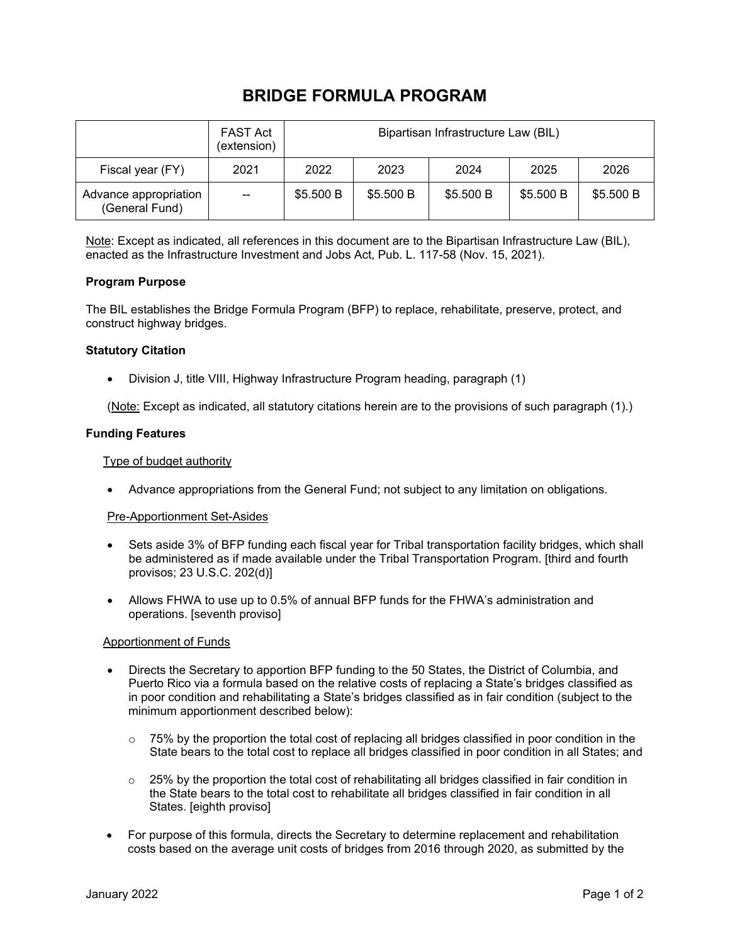# **BRIDGE FORMULA PROGRAM**

|                                         | <b>FAST Act</b><br>(extension) | Bipartisan Infrastructure Law (BIL) |           |           |           |           |
|-----------------------------------------|--------------------------------|-------------------------------------|-----------|-----------|-----------|-----------|
| Fiscal year (FY)                        | 2021                           | 2022                                | 2023      | 2024      | 2025      | 2026      |
| Advance appropriation<br>(General Fund) | $\overline{\phantom{a}}$       | \$5.500 B                           | \$5.500 B | \$5.500 B | \$5.500 B | \$5.500 B |

Note: Except as indicated, all references in this document are to the Bipartisan Infrastructure Law (BIL), enacted as the Infrastructure Investment and Jobs Act, Pub. L. 117-58 (Nov. 15, 2021).

## **Program Purpose**

The BIL establishes the Bridge Formula Program (BFP) to replace, rehabilitate, preserve, protect, and construct highway bridges.

## **Statutory Citation**

• Division J, title VIII, Highway Infrastructure Program heading, paragraph (1)

(Note: Except as indicated, all statutory citations herein are to the provisions of such paragraph (1).)

## **Funding Features**

## Type of budget authority

• Advance appropriations from the General Fund; not subject to any limitation on obligations.

## Pre-Apportionment Set-Asides

- Sets aside 3% of BFP funding each fiscal year for Tribal transportation facility bridges, which shall be administered as if made available under the Tribal Transportation Program. [third and fourth provisos; 23 U.S.C. 202(d)]
- Allows FHWA to use up to 0.5% of annual BFP funds for the FHWA's administration and operations. [seventh proviso]

## Apportionment of Funds

- Directs the Secretary to apportion BFP funding to the 50 States, the District of Columbia, and Puerto Rico via a formula based on the relative costs of replacing a State's bridges classified as in poor condition and rehabilitating a State's bridges classified as in fair condition (subject to the minimum apportionment described below):
	- $\circ$  75% by the proportion the total cost of replacing all bridges classified in poor condition in the State bears to the total cost to replace all bridges classified in poor condition in all States; and
	- $\circ$  25% by the proportion the total cost of rehabilitating all bridges classified in fair condition in the State bears to the total cost to rehabilitate all bridges classified in fair condition in all States. [eighth proviso]
- For purpose of this formula, directs the Secretary to determine replacement and rehabilitation costs based on the average unit costs of bridges from 2016 through 2020, as submitted by the